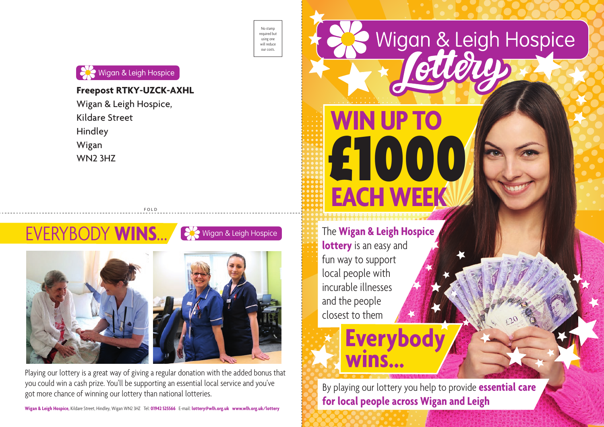No stamp required but using one will reduce our costs.



# **Freepost RTKY-UZCK-AXHL**

Wigan & Leigh Hospice, Kildare Street Hindley Wigan WN2 3HZ



FOLD

Playing our lottery is a great way of giving a regular donation with the added bonus that you could win a cash prize. You'll be supporting an essential local service and you've got more chance of winning our lottery than national lotteries.

**Wigan & Leigh Hospice,** Kildare Street, Hindley, Wigan WN2 3HZ Tel: **01942 525566** E-mail: **lottery@wlh.org.uk www.wlh.org.uk/lottery**



By playing our lottery you help to provide **essential care for local people across Wigan and Leigh**